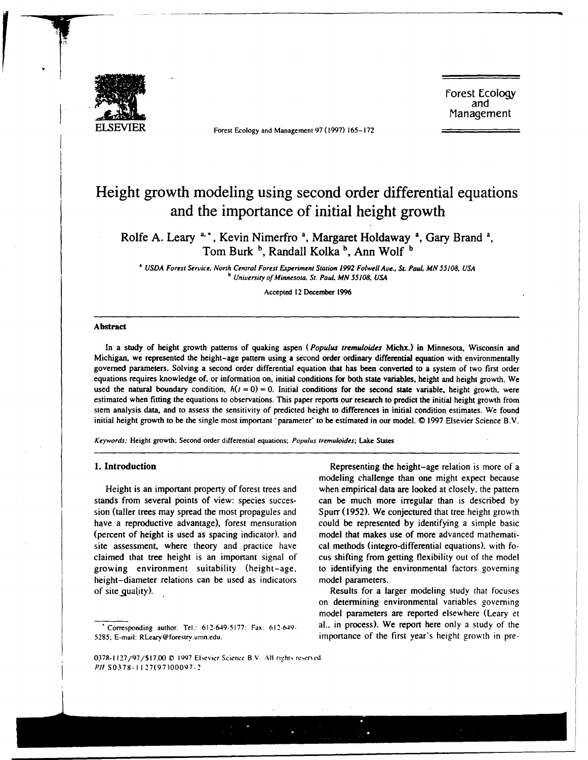

 $\vert$ 

Forest Ecology and Management 97 (1997) 165-172

Forest Ecology and Management

# Height growth modeling using second order differential equations and the importance of initial height growth

Rolfe A. Leary <sup>a, \*</sup>, Kevin Nimerfro <sup>a</sup>, Margaret Holdaway <sup>a</sup>, Gary Brand <sup>a</sup>, Tom Burk <sup>b</sup>, Randall Kolka <sup>b</sup>, Ann Wolf <sup>b</sup>

<sup>\*</sup> USDA Forest Service, North Central Forest Experiment Station 1992 Folwell Ave., St. Paul, MN 55108, USA <sup>b</sup> University of Minnesota. St. Paul, MN 55108, USA

Accepted 12 December 1996

## **Abstract**

In a study of height growth patterns of quaking aspen ( *Populus tremuloides* Michx.) in Minnesota, Wisconsin and Michigan, we represented the height-age pattern using a second order ordinary differential equation with environmentally governed parameters. Solving a second order differential equation that has been converted to a system of two first order equations requires knowledge of, or information on, initial conditions for both state variables, height and height growth. We used the natural boundary condition,  $h(t = 0) = 0$ . Initial conditions for the second state variable, height growth, were estimated when fitting the equations to observations. This paper reports our research to predict the initial height growth from stem analysis data, and to assess the sensitivity of predicted height to differences in initial condition estimates. We found initial height growth to be the single most important 'parameter' to be estimated in our model. © 1997 Elsevier Science B.V.

Keywords: Height growth; Second order differential equations; *Populus tremuloides*; Lake States

## **1. Introduction**

Height is an important property of forest trees and stands from several points of view: species succession (taller trees may spread the most propagules and have a reproductive advantage), forest mensuration (percent of height is used as spacing indicator). and site assessment, where theory and practice have claimed that tree height is an important signal of growing environment suitability (height-age. height-diameter relations can be used as indicators of site\_quality).

Representing the height-age relation is more of a modeling challenge than one might expect because when empirical data are looked at closely. the pattern can be much more irregular than is described by Spurr (1952). We conjectured that tree height growth could be represented by identifying a simple basic model that makes use of more advanced mathematical methods {integro-differential equations). with focus shifting from getting flexibility out of the model to identifying the environmental factors governing model parameters.

Results for a larger modeling study that focuses on determining environmental variables governing model parameters are reported elsewhere (Leary et al.. in process). We report here only a study of the importance of the first year's height growth in pre-

Corresponding author. Tel.: 612-649-5177; Fax: 612-649-5285; E-mail: RLeary@forestry.umn.edu.

<sup>0378-1127/97/\$17.00 © 1997</sup> Elsevier Science B.V. All rights reserved. PII S0378-1127(97)00097-2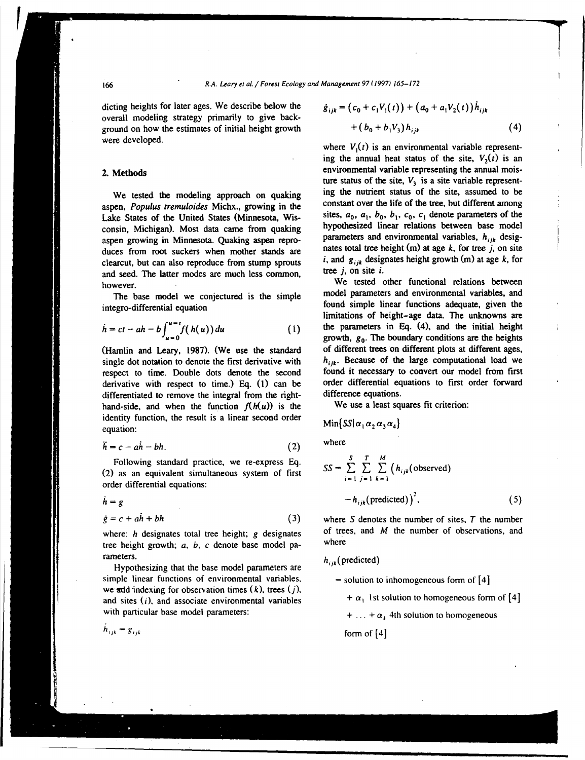dicting heights for later ages. We describe below the overall modeling strategy primarily to give background on how the estimates of initial height growth were developed.

## **2. Methods**

We tested the modeling approach on quaking aspen, *Populus tremuloides* Michx., growing in the Lake States of the United States (Minnesota, Wisconsin, Michigan). Most data came from quaking aspen growing in Minnesota. Quaking aspen reproduces from root suckers when mother stands are clearcut, but can also reproduce from stump sprouts and seed. The latter modes are much less common, however.

The base model we conjectured is the simple integro-differential equation

$$
\dot{h} = ct - ah - b \int_{u=0}^{u=1} f(h(u)) du
$$
 (1)

(Hamlin and Leary, 1987). (We use the standard single dot notation to denote the first derivative with respect to time. Double dots denote the second derivative with respect to time.) Eq. (l) can be differentiated to remove the integral from the righthand-side, and when the function  $f(h(u))$  is the identity function, the result is a linear second order equation:

$$
\ddot{h} = c - ah - bh. \tag{2}
$$

Following standard practice, we re-express Eq. (2) as an equivalent simultaneous system of first order differential equations:

$$
\dot{h} = g
$$
  
\n
$$
\dot{g} = c + a\dot{h} + bh
$$
\n(3)

where: *h* designates total tree height; *g* designates tree height growth; *a, b, c* denote base model parameters.

Hypothesizing that the base model parameters are simple linear functions of environmental variables, we add indexing for observation times  $(k)$ , trees  $(j)$ . and sites (i). and associate environmental variables with particular base model parameters:

 $h_{ijk} = g_{ijk}$ 

$$
\dot{g}_{ijk} = (c_0 + c_1 V_1(t)) + (a_0 + a_1 V_2(t))h_{ijk} + (b_0 + b_1 V_3)h_{ijk}
$$
 (4)

where  $V_1(t)$  is an environmental variable representing the annual heat status of the site,  $V_2(t)$  is an **environmental variable representing the** annual moisture status of the site,  $V_3$  is a site variable represent**ing the** nutrient **status** of the site, assumed to be constant **over the** life **of the tree,** but **different** among sites,  $a_0$ ,  $a_1$ ,  $b_0$ ,  $b_1$ ,  $c_0$ ,  $c_1$  denote parameters of the **hypothesized linear relations between base** model parameters and environmental variables,  $h_{ijk}$  desig**nates total tree** height (m) **at age** *k,* for tree j, on site  $i$ , and  $g_{ijk}$  designates height growth (m) at age  $k$ , for **tree** j, on site i.

**We tested** other functional relations **between model parameters** and environmental **variables,** and found simple linear functions adequate, **given the**  limitations **of height-age data.** The **unknowns are the parameters** in **Eq. (4),** and the **initial height growth,**  $g_0$ **. The boundary conditions are the heights** of **different trees on different plots at different ages,**  *hijk·* **Because** of **the large** computational load we found it necessary to convert our model from first order differential equations to first order forward **difference** equations.

We use a least squares fit criterion:

$$
\text{Min}\{S\mathbf{S}|\alpha_1\alpha_2\alpha_3\alpha_4\}
$$

where

$$
SS = \sum_{i=1}^{S} \sum_{j=1}^{T} \sum_{k=1}^{M} (h_{ijk}(\text{observed})
$$

$$
-h_{ijk}(\text{predicted})^2,
$$
 (5)

where *S* denotes the number of sites, *T* the number of trees, and M the number of observations, and where

 $h_{ijk}$ (predicted)

 $=$  solution to inhomogeneous form of  $[4]$ 

 $+ \alpha_1$  1st solution to homogeneous form of [4]

+ ... +  $\alpha_1$  4th solution to homogeneous

form of  $[4]$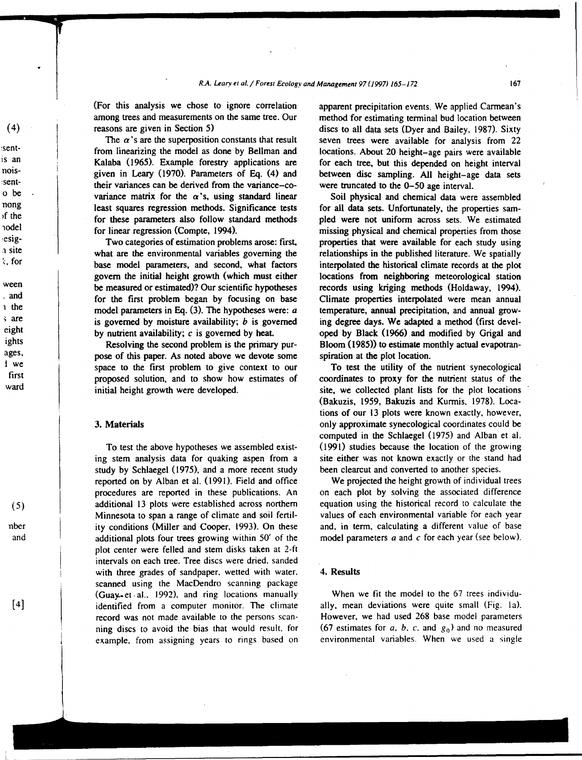(For this analysis we chose to ignore correlation among trees and measurements on the same tree. Our reasons are given in Section 5)

The  $\alpha$ 's are the superposition constants that result from linearizing the model as done by Bellman and Kalaba (1965). Example forestry applications are given in Leary (1970). Parameters of Eq. (4) and their variances can be derived from the variance-covariance matrix for the  $\alpha$ 's, using standard linear least squares regression methods. Significance tests for these parameters also follow standard methods for linear regression (Compte, 1994).

Two categories of estimation problems arose: first, what are the environmental variables governing the base model parameters, and second, what factors govern the initial height growth ( which must either be measured or estimated)? Our scientific hypotheses for the first problem began by focusing on base model parameters in Eq. (3). The hypotheses were: *a*  is governed by moisture availability;  $b$  is governed by nutrient availability;  $c$  is governed by heat.

Resolving the second problem is the primary purpose of this paper. As noted above we devote some space to the first problem to give context to our proposed solution, and to show how estimates of initial height growth were developed.

## 3. **Materials**

To test the above hypotheses we assembled existing stem analysis data for quaking aspen from a study by Schlaegel (1975), and a more recent study reported on by Alban et al. (1991). Field and office procedures are reported in these publications. An additional 13 plots were established across northern Minnesota to span a range of climate and soil fertility conditions (Miller and Cooper. 1993). On these additional plots four trees growing within 50' of the plot center were felled and stem disks taken at 2-ft intervals on each tree. Tree discs were dried. sanded with three grades of sandpaper. wetted with water. scanned using the MacDendro scanning package (Guay.-et. al.. 1992). and ring locations manually identified from a computer monitor. The climate record was not made available to the persons scanning discs to avoid the bias that would result. for example. from assigning years to rings based on apparent precipitation events. We applied Carrnean's method for estimating terminal bud location between discs to all data sets (Dyer and Bailey, 1987). Sixty seven trees were available for analysis from 22 locations. About 20 height-age pairs were available for each tree, but this depended on height interval between disc sampling. All height-age data sets were truncated to the 0-50 age interval.

Soil physical and chemical data were assembled for all data sets. Unfortunately, the properties sampled were not uniform across sets. We estimated missing physical and chemical properties from those properties that were available for each study using relationships in the published literature. We spatially interpolated the historical climate records at the plot locations from neighboring meteorological station records using kriging methods (Holdaway. 1994). Climate properties interpolated were mean annual temperature, annual precipitation, and annual growing degree days. We adapted a method (first developed by Black (1966) and modified by Grigal and Bloom (1985)) to estimate monthly actual evapotranspiration at the plot location.

To test the utility of the nutrient synecological coordinates to proxy for the nutrient status of the site, we collected plant lists for the plot locations (Bakuzis, 1959, Bakuzis and Kurmis. 1978). Locations of our 13 plots were known exactly. however, only approximate synecological coordinates could be computed in the Schlaegel ( 1975) and Alban et al. (1991) studies because the location of the growing site either was not known exactly or the stand had been clearcut and converted to another species.

We projected the height growth of individual trees on each plot by solving the associated difference equation using the historical record to calculate the values of each environmental variable for each year and. in term. calculating a different value of base model parameters *a* and *c* for each year (see below).

## 4. **Results**

When we fit the model to the 67 trees individually, mean deviations were quite small (Fig. la). However, we had used 268 base model parameters (67 estimates for  $a, b, c$ , and  $g<sub>0</sub>$ ) and no measured environmental variables. When we used a single

s an nois- :sent-<sup>0</sup>be nong >f the 1odel ,esig n site  $\zeta$ , for

(4)

:sent-

ween . and 1 the ,; are eight ights ages, I we first ward

> (5) nber and

 $[4]$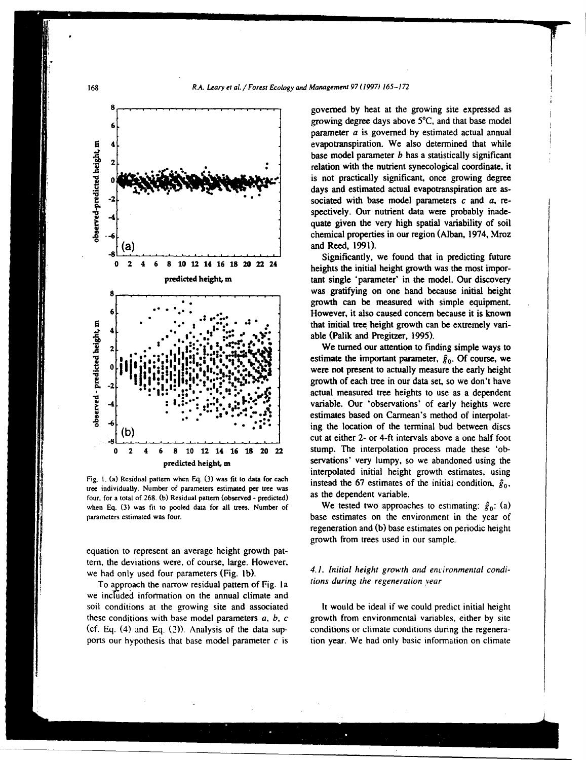



Fig. 1. (a) Residual pattern when Eq. (3) was fit to data for each tree individually. Number of parameters estimated per tree was four, for a total of 268. (b) Residual pattern (observed - predicted) when Eq. (3) was fit to pooled data for all trees. Number of parameters estimated was four.

equation to represent an average height growth pattern, the deviations were, of course, large. However, we had only used four parameters (Fig. 1b).

To approach the narrow residual pattern of Fig. 1a we included information on the annual climate and soil conditions at the growing site and associated these conditions with base model parameters  $a, b, c$ (cf. Eq.  $(4)$  and Eq.  $(2)$ ). Analysis of the data supports our hypothesis that base model parameter  $c$  is governed by heat at the growing site expressed as growing degree days above 5°C, and that base model parameter  $a$  is governed by estimated actual annual evapotranspiration. We also determined that while base model parameter  $b$  has a statistically significant relation with the nutrient synecological coordinate, it is not practically significant, once growing degree days and estimated actual evapotranspiration are associated with base model parameters  $c$  and  $a$ , respectively. Our nutrient data were probably inadequate given the very high spatial variability of soil chemical properties in our region (Alban, 1974, Mroz and Reed. 1991).

Significantly, we found that in predicting future heights the initial height growth was the most important single 'parameter' in the model. Our discovery was gratifying on one hand because initial height growth can be measured with simple equipment. However, it also caused concern because it is known that initial tree height growth can be extremely variable (Palik and Pregitzer, 1995).

We turned our attention to finding simple ways to estimate the important parameter,  $\hat{g}_0$ . Of course, we were not present to actually measure the early height growth of each tree in our data set, so we don't have actual measured tree heights to use as a dependent variable. Our 'observations' of early heights were estimates based on Carmean's method of interpolating the location of the terminal bud between discs cut at either 2- or 4-ft intervals above a one half foot stump. The interpolation process made these 'observations' very lumpy, so we abandoned using the interpolated initial height growth estimates, using instead the 67 estimates of the initial condition,  $\hat{g}_0$ , as the dependent variable.

We tested two approaches to estimating:  $\hat{g}_0$ : (a) base estimates on the environment in the year of regeneration and (b) base estimates on periodic height growth from trees used in our sample.

# 4.1. Initial height growth and environmental conditions during the regeneration year

It would be ideal if we could predict initial height growth from environmental variables, either by site conditions or climate conditions during the regeneration year. We had only basic information on climate

168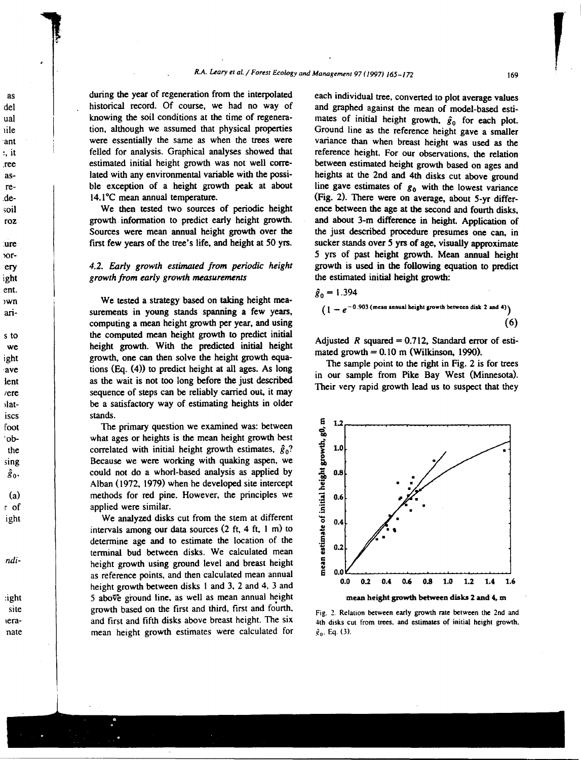during the year of regeneration from the interpolated historical record. Of course, we had no way of knowing the soil conditions at the time of regeneration, although we assumed that physical properties were essentially the same as when the trees were felled for analysis. Graphical analyses showed that estimated initial height growth was not well correlated with any environmental variable with the possible exception of a height growth peak at about 14.1°C mean annual temperature.

**as** 

del

ual

ıile

ant

. it

ree

as.

re-

de-

soil

roz

ure

or-

erv

ight ent.

wn

ari-

 $s$  to

we

ight

ave

lent

/ere

ılat-

iscs

foot

ob-

the

sing

 $\hat{g}_0$ ,

 $(a)$ 

r of

ight

ndi-

:ight

site

era-

nate

We then tested two sources of periodic height growth information to predict early height growth. Sources were mean annual height growth over the first few years of the tree's life, and height at 50 yrs.

# 4.2. Early growth estimated from periodic height growth from early growth measurements

We tested a strategy based on taking height measurements in young stands spanning a few years, computing a mean height growth per year, and using the computed mean height growth to predict initial height growth. With the predicted initial height growth, one can then solve the height growth equations (Eq. (4)) to predict height at all ages. As long as the wait is not too long before the just described sequence of steps can be reliably carried out, it may be a satisfactory way of estimating heights in older stands.

The primary question we examined was: between what ages or heights is the mean height growth best correlated with initial height growth estimates,  $\hat{g}_0$ ? Because we were working with quaking aspen, we could not do a whorl-based analysis as applied by Alban (1972, 1979) when he developed site intercept methods for red pine. However, the principles we applied were similar.

We analyzed disks cut from the stem at different intervals among our data sources (2 ft, 4 ft, 1 m) to determine age and to estimate the location of the terminal bud between disks. We calculated mean height growth using ground level and breast height as reference points, and then calculated mean annual height growth between disks 1 and 3, 2 and 4, 3 and 5 above ground line, as well as mean annual height growth based on the first and third, first and fourth, and first and fifth disks above breast height. The six mean height growth estimates were calculated for

each individual tree, converted to plot average values and graphed against the mean of model-based estimates of initial height growth,  $\hat{g}_0$  for each plot. Ground line as the reference height gave a smaller variance than when breast height was used as the reference height. For our observations, the relation between estimated height growth based on ages and heights at the 2nd and 4th disks cut above ground line gave estimates of  $g_0$  with the lowest variance (Fig. 2). There were on average, about 5-yr difference between the age at the second and fourth disks. and about 3-m difference in height. Application of the just described procedure presumes one can, in sucker stands over 5 yrs of age, visually approximate 5 yrs of past height growth. Mean annual height growth is used in the following equation to predict the estimated initial height growth:

$$
\hat{g}_0 = 1.394
$$
\n
$$
(1 - e^{-0.903 \text{ (mean annual height growth between disk 2 and 4)}})
$$
\n(6)

Adjusted R squared = 0.712, Standard error of estimated growth  $= 0.10$  m (Wilkinson, 1990).

The sample point to the right in Fig. 2 is for trees in our sample from Pike Bay West (Minnesota). Their very rapid growth lead us to suspect that they



mean height growth between disks 2 and 4, m

Fig. 2. Relation between early growth rate between the 2nd and 4th disks cut from trees, and estimates of initial height growth,  $\hat{g}_0$ . Eq. (3).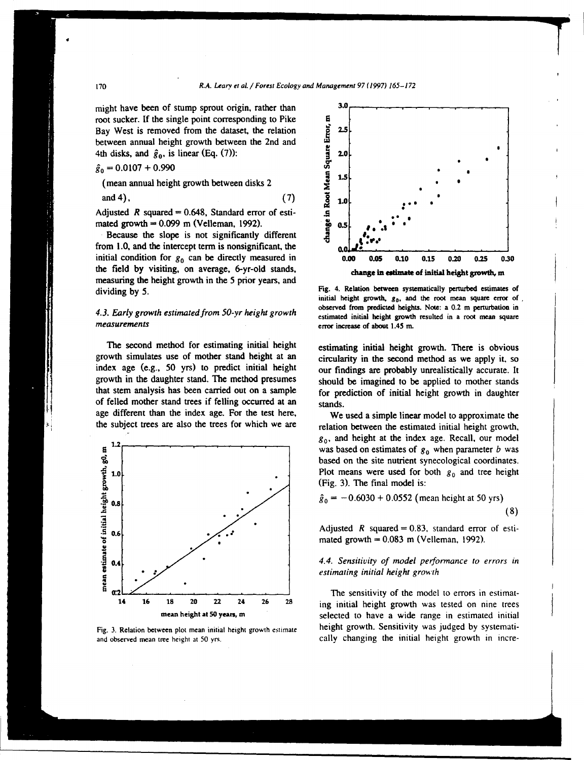might have been of stump sprout origin, rather than root sucker. If the single point corresponding to Pike Bay West is removed from the dataset, the relation between annual height growth between the 2nd and 4th disks, and  $\hat{g}_0$ , is linear (Eq. (7)):

$$
\hat{g}_0 = 0.0107 + 0.990
$$

(mean annual height growth between disks 2

$$
\text{and } 4), \tag{7}
$$

Adjusted R squared =  $0.648$ , Standard error of estimated growth  $= 0.099$  m (Velleman, 1992).

Because the slope is not significantly different from 1.0, and the intercept term is nonsignificant, the initial condition for  $g_0$  can be directly measured in the field by visiting, on average, 6-yr-old stands, measuring the height growth in the 5 prior years, and dividing by 5.

# 4.3. Early growth estimated from 50-yr height growth measurements

The second method for estimating initial height growth simulates use of mother stand height at an index age (e.g., 50 yrs) to predict initial height growth in the daughter stand. The method presumes that stem analysis has been carried out on a sample of felled mother stand trees if felling occurred at an age different than the index age. For the test here, the subject trees are also the trees for which we are



Fig. 3. Relation between plot mean initial height growth estimate and observed mean tree height at 50 yrs.



Fig. 4. Relation between systematically perturbed estimates of initial height growth,  $g_0$ , and the root mean square error of . observed from predicted heights. Note: a 0.2 m perturbation in estimated initial height growth resulted in a root mean square error increase of about 1.45 m.

estimating initial height growth. There is obvious circularity in the second method as we apply it, so our findings are probably unrealistically accurate. It should be imagined to be applied to mother stands for prediction of initial height growth in daughter stands.

We used a simple linear model to approximate the relation between the estimated initial height growth,  $g_0$ , and height at the index age. Recall, our model was based on estimates of  $g_0$  when parameter b was based on the site nutrient synecological coordinates. Plot means were used for both  $g_0$  and tree height (Fig. 3). The final model is:

$$
\hat{g}_0 = -0.6030 + 0.0552 \text{ (mean height at 50 yrs)}
$$
\n(8)

Adjusted  $R$  squared = 0.83, standard error of estimated growth =  $0.083$  m (Velleman, 1992).

# 4.4. Sensitivity of model performance to errors in estimating initial height growth

The sensitivity of the model to errors in estimating initial height growth was tested on nine trees selected to have a wide range in estimated initial height growth. Sensitivity was judged by systematically changing the initial height growth in incre-

 $170$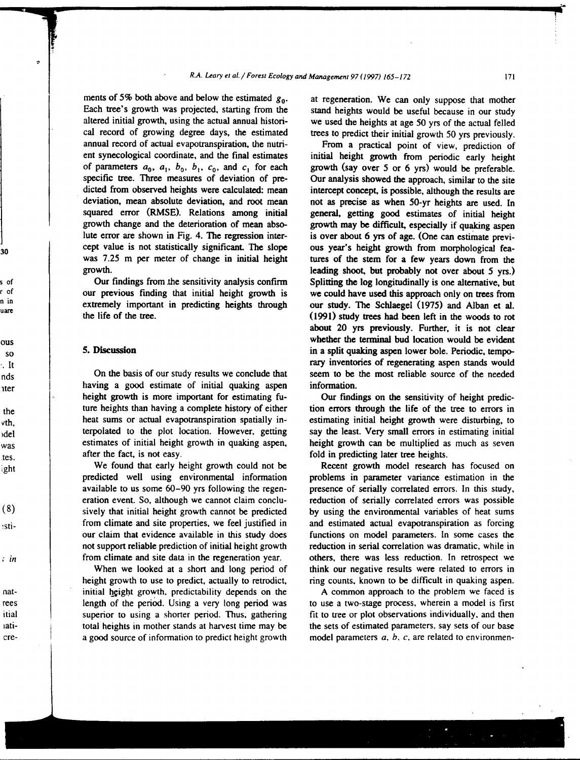ments of 5% both above and below the estimated  $g_0$ . Each tree's growth was projected, starting from the altered initial growth, using the actual annual historical record of growing degree days, the estimated annual record of actual evapotranspiration, the nutrient synecological coordinate, and the final estimates of parameters  $a_0$ ,  $a_1$ ,  $b_0$ ,  $b_1$ ,  $c_0$ , and  $c_1$  for each specific tree. Three measures of deviation of predicted from observed heights were calculated: mean deviation, mean absolute deviation, and root mean squared error (RMSE). Relations among initial growth change and the deterioration of mean absolute error are shown in Fig. 4. The regression intercept value is not statistically significant. The slope was 7.25 m per meter of change in initial height growth.

Our findings from the sensitivity analysis confirm our previous finding that initial height growth is extremely important in predicting heights through the life of the tree.

#### 5. Discussion

þ,

30

s of

n in

uare

ous

**SO** 

. It

nds

**ater** 

the

∨th,

rdel

was

tes.

ight

 $(8)$ 

:sti-

: in

nat-

rees

itial

ıati-

cre-

of ŕ.

> On the basis of our study results we conclude that having a good estimate of initial quaking aspen height growth is more important for estimating future heights than having a complete history of either heat sums or actual evapotranspiration spatially interpolated to the plot location. However, getting estimates of initial height growth in quaking aspen, after the fact, is not easy.

> We found that early height growth could not be predicted well using environmental information available to us some 60–90 yrs following the regeneration event. So, although we cannot claim conclusively that initial height growth cannot be predicted from climate and site properties, we feel justified in our claim that evidence available in this study does not support reliable prediction of initial height growth from climate and site data in the regeneration year.

> When we looked at a short and long period of height growth to use to predict, actually to retrodict, initial height growth, predictability depends on the length of the period. Using a very long period was superior to using a shorter period. Thus, gathering total heights in mother stands at harvest time may be a good source of information to predict height growth

at regeneration. We can only suppose that mother stand heights would be useful because in our study we used the heights at age 50 yrs of the actual felled trees to predict their initial growth 50 yrs previously.

From a practical point of view, prediction of initial height growth from periodic early height growth (say over 5 or 6 yrs) would be preferable. Our analysis showed the approach, similar to the site intercept concept, is possible, although the results are not as precise as when 50-yr heights are used. In general, getting good estimates of initial height growth may be difficult, especially if quaking aspen is over about 6 yrs of age. (One can estimate previous year's height growth from morphological features of the stem for a few years down from the leading shoot, but probably not over about 5 yrs.) Splitting the log longitudinally is one alternative, but we could have used this approach only on trees from our study. The Schlaegel (1975) and Alban et al. (1991) study trees had been left in the woods to rot about 20 yrs previously. Further, it is not clear whether the terminal bud location would be evident in a split quaking aspen lower bole. Periodic, temporary inventories of regenerating aspen stands would seem to be the most reliable source of the needed information.

Our findings on the sensitivity of height prediction errors through the life of the tree to errors in estimating initial height growth were disturbing, to say the least. Very small errors in estimating initial height growth can be multiplied as much as seven fold in predicting later tree heights.

Recent growth model research has focused on problems in parameter variance estimation in the presence of serially correlated errors. In this study, reduction of serially correlated errors was possible by using the environmental variables of heat sums and estimated actual evapotranspiration as forcing functions on model parameters. In some cases the reduction in serial correlation was dramatic, while in others, there was less reduction. In retrospect we think our negative results were related to errors in ring counts, known to be difficult in quaking aspen.

A common approach to the problem we faced is to use a two-stage process, wherein a model is first fit to tree or plot observations individually, and then the sets of estimated parameters, say sets of our base model parameters  $a, b, c$ , are related to environmen-

 $171$